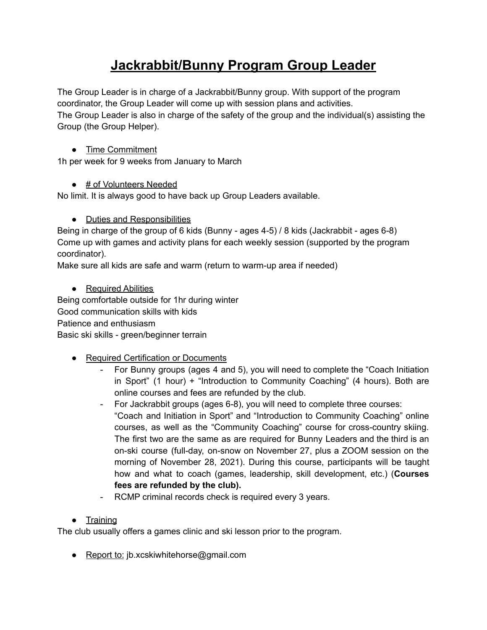# **Jackrabbit/Bunny Program Group Leader**

The Group Leader is in charge of a Jackrabbit/Bunny group. With support of the program coordinator, the Group Leader will come up with session plans and activities. The Group Leader is also in charge of the safety of the group and the individual(s) assisting the Group (the Group Helper).

### ● Time Commitment

1h per week for 9 weeks from January to March

### ● # of Volunteers Needed

No limit. It is always good to have back up Group Leaders available.

### ● Duties and Responsibilities

Being in charge of the group of 6 kids (Bunny - ages 4-5) / 8 kids (Jackrabbit - ages 6-8) Come up with games and activity plans for each weekly session (supported by the program coordinator).

Make sure all kids are safe and warm (return to warm-up area if needed)

### • Required Abilities

Being comfortable outside for 1hr during winter Good communication skills with kids Patience and enthusiasm Basic ski skills - green/beginner terrain

- Required Certification or Documents
	- For Bunny groups (ages 4 and 5), you will need to complete the "Coach Initiation in Sport" (1 hour) + "Introduction to Community Coaching" (4 hours). Both are online courses and fees are refunded by the club.
	- For Jackrabbit groups (ages 6-8), you will need to complete three courses: "Coach and Initiation in Sport" and "Introduction to Community Coaching" online courses, as well as the "Community Coaching" course for cross-country skiing. The first two are the same as are required for Bunny Leaders and the third is an on-ski course (full-day, on-snow on November 27, plus a ZOOM session on the morning of November 28, 2021). During this course, participants will be taught how and what to coach (games, leadership, skill development, etc.) (**Courses fees are refunded by the club).**
	- RCMP criminal records check is required every 3 years.

## ● Training

The club usually offers a games clinic and ski lesson prior to the program.

● Report to: jb.xcskiwhitehorse@gmail.com